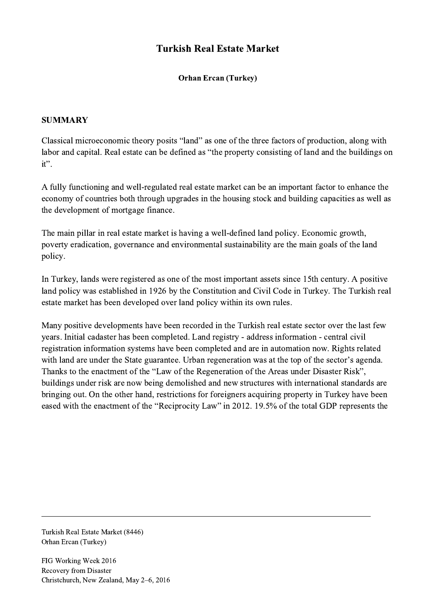## Turkish Real Estate Market

Orhan Ercan (Turkey)

## **SUMMARY**

Classical microeconomic theory posits "land" as one of the three factors of production, along with labor and capital. Real estate can be defined as "the property consisting of land and the buildings on it".

A fully functioning and well-regulated real estate market can be an important factor to enhance the economy of countries both through upgrades in the housing stock and building capacities as well as the development of mortgage finance.

The main pillar in real estate market is having a well-defined land policy. Economic growth, poverty eradication, governance and environmental sustainability are the main goals of the land policy.

In Turkey, lands were registered as one of the most important assets since 15th century. A positive land policy was established in 1926 by the Constitution and Civil Code in Turkey. The Turkish real estate market has been developed over land policy within its own rules.

Many positive developments have been recorded in the Turkish real estate sector over the last few years. Initial cadaster has been completed. Land registry - address information - central civil registration information systems have been completed and are in automation now. Rights related with land are under the State guarantee. Urban regeneration was at the top of the sector's agenda. Thanks to the enactment of the "Law of the Regeneration of the Areas under Disaster Risk", buildings under risk are now being demolished and new structures with international standards are bringing out. On the other hand, restrictions for foreigners acquiring property in Turkey have been eased with the enactment of the "Reciprocity Law" in 2012. 19.5% of the total GDP represents the

 $\mathcal{L}_\mathcal{L} = \{ \mathcal{L}_\mathcal{L} = \{ \mathcal{L}_\mathcal{L} = \{ \mathcal{L}_\mathcal{L} = \{ \mathcal{L}_\mathcal{L} = \{ \mathcal{L}_\mathcal{L} = \{ \mathcal{L}_\mathcal{L} = \{ \mathcal{L}_\mathcal{L} = \{ \mathcal{L}_\mathcal{L} = \{ \mathcal{L}_\mathcal{L} = \{ \mathcal{L}_\mathcal{L} = \{ \mathcal{L}_\mathcal{L} = \{ \mathcal{L}_\mathcal{L} = \{ \mathcal{L}_\mathcal{L} = \{ \mathcal{L}_\mathcal{$ 

Turkish Real Estate Market (8446) Orhan Ercan (Turkey)

FIG Working Week 2016 Recovery from Disaster Christchurch, New Zealand, May 2–6, 2016